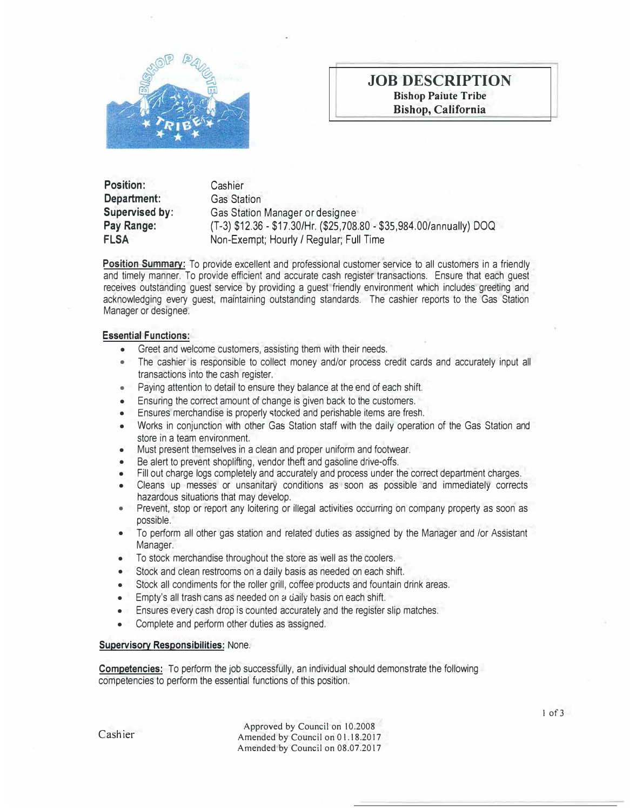

# **JOB DESCRIPTION Bishop Paiute Tribe Bishop, California**

**Position: Department: Supervised by: Pay Range: FLSA Cashier** Gas Station Gas Station Manager or designee (T-3) \$12.36 - \$17.30/Hr. (\$25,708.80 -\$35,984.00/annually) DOQ Non-Exempt; Hourly / Regular; Full Time

**Position Summary:** To provide excellent and professional customer service to all customers in a friendly and timely manner. To provide efficient and accurate cash register transactions. Ensure that each guest receives outstanding guest service by providing a guest friendly environment which includes greeting and acknowledging every guest, maintaining outstanding standards. The cashier reports to the Gas Station Manager or designee.

### **Essential Functions:**

- Greet and welcome customers, assisting them with their needs.
- The cashier is responsible to collect money and/or process credit cards and accurately input all transactions into the cash register.
- Paying attention to detail to ensure they balance at the end of each shift.
- Ensuring the correct amount of change is given back to the customers.
- Ensures merchandise is properly stocked and perishable items are fresh.
- Works in conjunction with other Gas Station staff with the daily operation of the Gas Station and store in a team environment.
- Must present themselves in a clean and proper uniform and footwear.
- Be alert to prevent shoplifting, vendor theft and gasoline drive-offs.
- Fill out charge logs completely and accurately and process under the correct department charges.
- Cleans up messes or unsanitary conditions as soon as possible and immediately corrects hazardous situations that may develop.
- Prevent, stop or report any loitering or illegal activities occurring on company property as soon as possible.
- To perform all other gas station and related duties as assigned by the Manager and /or Assistant Manager.
- To stock merchandise throughout the store as well as the coolers.
- Stock and clean restrooms on a daily basis as needed on each shift.
- Stock all condiments for the roller grill, coffee products and fountain drink areas.
- Empty's all trash cans as needed on a daily basis on each shift.
- Ensures every cash drop is counted accurately and the register slip matches.
- Complete and perform other duties as assigned.

#### **Supervisory Responsibilities:** None.

**Competencies:** To perform the job successfully, an individual should demonstrate the following competencies to perform the essential functions of this position.

Cashier

Approved by Council on 10.2008 Amended by Council on 0 1.18.2017 Amended by Council on 08.07.2017

 $1$  of  $3$